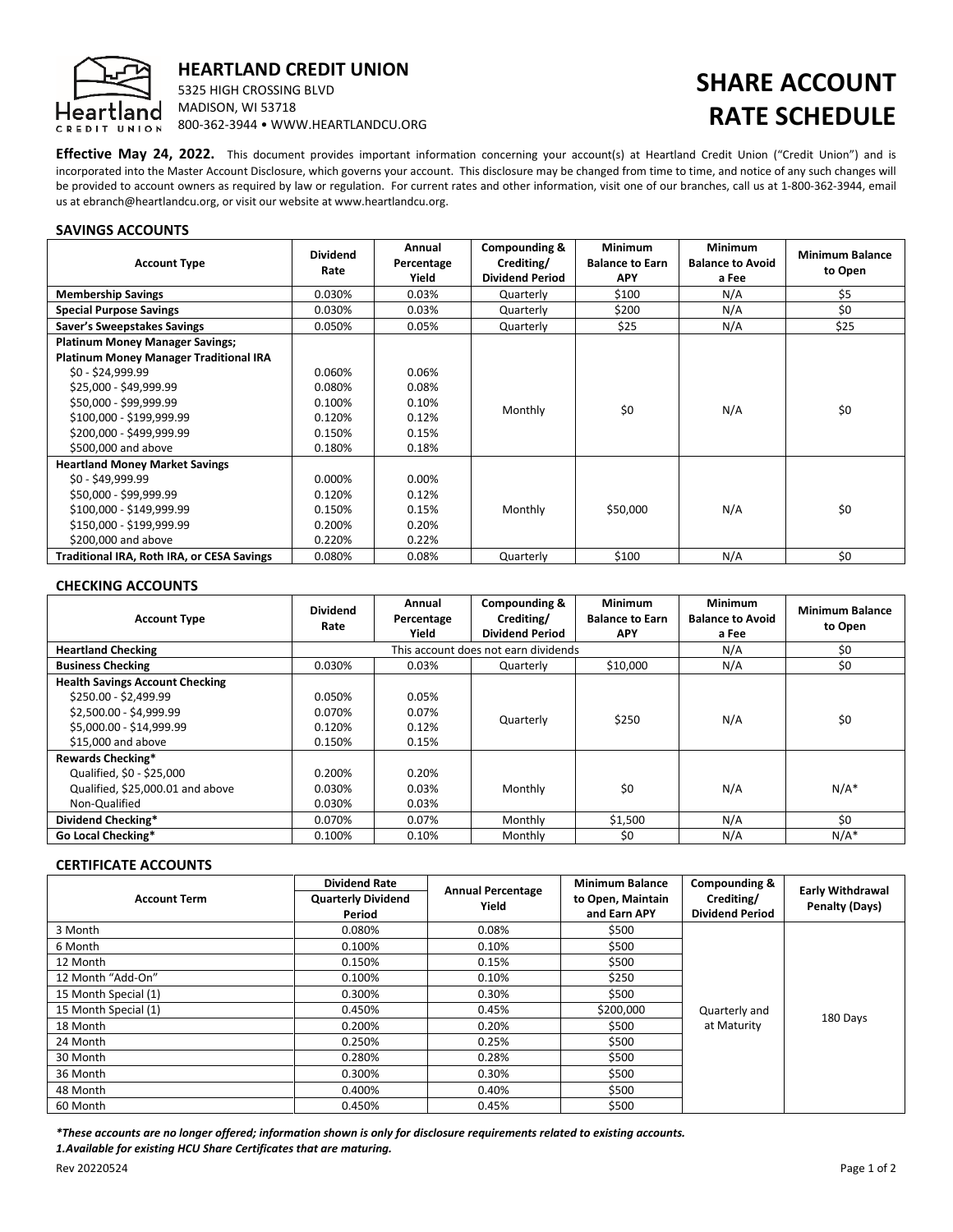

## HEARTLAND CREDIT UNION

5325 HIGH CROSSING BLVD MADISON, WI 53718 800-362-3944 • WWW.HEARTLANDCU.ORG

# SHARE ACCOUNT RATE SCHEDULE

Effective May 24, 2022. This document provides important information concerning your account(s) at Heartland Credit Union ("Credit Union") and is incorporated into the Master Account Disclosure, which governs your account. This disclosure may be changed from time to time, and notice of any such changes will be provided to account owners as required by law or regulation. For current rates and other information, visit one of our branches, call us at 1-800-362-3944, email us at ebranch@heartlandcu.org, or visit our website at www.heartlandcu.org.

### SAVINGS ACCOUNTS

| <b>Account Type</b>                           | <b>Dividend</b><br>Rate | Annual<br>Percentage<br>Yield | Compounding &<br>Crediting/<br><b>Dividend Period</b> | <b>Minimum</b><br><b>Balance to Earn</b><br>APY | <b>Minimum</b><br><b>Balance to Avoid</b><br>a Fee | <b>Minimum Balance</b><br>to Open |
|-----------------------------------------------|-------------------------|-------------------------------|-------------------------------------------------------|-------------------------------------------------|----------------------------------------------------|-----------------------------------|
| <b>Membership Savings</b>                     | 0.030%                  | 0.03%                         | Quarterly                                             | \$100                                           | N/A                                                | \$5                               |
| <b>Special Purpose Savings</b>                | 0.030%                  | 0.03%                         | Quarterly                                             | \$200                                           | N/A                                                | \$0                               |
| Saver's Sweepstakes Savings                   | 0.050%                  | 0.05%                         | Quarterly                                             | \$25                                            | N/A                                                | \$25                              |
| <b>Platinum Money Manager Savings;</b>        |                         |                               |                                                       |                                                 |                                                    |                                   |
| <b>Platinum Money Manager Traditional IRA</b> |                         |                               |                                                       |                                                 |                                                    |                                   |
| \$0 - \$24,999.99                             | 0.060%                  | 0.06%                         |                                                       |                                                 |                                                    |                                   |
| \$25,000 - \$49,999.99                        | 0.080%                  | 0.08%                         |                                                       |                                                 |                                                    |                                   |
| \$50,000 - \$99,999.99                        | 0.100%                  | 0.10%                         | Monthly                                               | \$0                                             | N/A                                                | \$0                               |
| \$100,000 - \$199,999.99                      | 0.120%                  | 0.12%                         |                                                       |                                                 |                                                    |                                   |
| \$200,000 - \$499,999.99                      | 0.150%                  | 0.15%                         |                                                       |                                                 |                                                    |                                   |
| \$500,000 and above                           | 0.180%                  | 0.18%                         |                                                       |                                                 |                                                    |                                   |
| <b>Heartland Money Market Savings</b>         |                         |                               |                                                       |                                                 |                                                    |                                   |
| \$0 - \$49,999.99                             | 0.000%                  | 0.00%                         |                                                       |                                                 |                                                    |                                   |
| \$50,000 - \$99,999.99                        | 0.120%                  | 0.12%                         |                                                       |                                                 |                                                    |                                   |
| \$100,000 - \$149,999.99                      | 0.150%                  | 0.15%                         | Monthly                                               | \$50,000                                        | N/A                                                | \$0                               |
| \$150,000 - \$199,999.99                      | 0.200%                  | 0.20%                         |                                                       |                                                 |                                                    |                                   |
| \$200,000 and above                           | 0.220%                  | 0.22%                         |                                                       |                                                 |                                                    |                                   |
| Traditional IRA, Roth IRA, or CESA Savings    | 0.080%                  | 0.08%                         | Quarterly                                             | \$100                                           | N/A                                                | \$0                               |

## CHECKING ACCOUNTS

| <b>Account Type</b>                    | <b>Dividend</b><br>Rate              | Annual<br>Percentage<br>Yield | Compounding &<br>Crediting/<br><b>Dividend Period</b> | Minimum<br><b>Balance to Earn</b><br><b>APY</b> | <b>Minimum</b><br><b>Balance to Avoid</b><br>a Fee | <b>Minimum Balance</b><br>to Open |
|----------------------------------------|--------------------------------------|-------------------------------|-------------------------------------------------------|-------------------------------------------------|----------------------------------------------------|-----------------------------------|
| <b>Heartland Checking</b>              | This account does not earn dividends |                               |                                                       | N/A                                             | \$0                                                |                                   |
| <b>Business Checking</b>               | 0.030%                               | 0.03%                         | Quarterly                                             | \$10,000                                        | N/A                                                | \$0                               |
| <b>Health Savings Account Checking</b> |                                      |                               |                                                       |                                                 |                                                    |                                   |
| \$250.00 - \$2,499.99                  | 0.050%                               | 0.05%                         |                                                       |                                                 |                                                    |                                   |
| \$2,500.00 - \$4,999.99                | 0.070%                               | 0.07%                         | Quarterly                                             | \$250                                           | N/A                                                | \$0                               |
| \$5,000.00 - \$14,999.99               | 0.120%                               | 0.12%                         |                                                       |                                                 |                                                    |                                   |
| \$15,000 and above                     | 0.150%                               | 0.15%                         |                                                       |                                                 |                                                    |                                   |
| <b>Rewards Checking*</b>               |                                      |                               |                                                       |                                                 |                                                    |                                   |
| Qualified, \$0 - \$25,000              | 0.200%                               | 0.20%                         |                                                       |                                                 |                                                    |                                   |
| Qualified, \$25,000.01 and above       | 0.030%                               | 0.03%                         | Monthly                                               | \$0                                             | N/A                                                | $N/A^*$                           |
| Non-Qualified                          | 0.030%                               | 0.03%                         |                                                       |                                                 |                                                    |                                   |
| Dividend Checking*                     | 0.070%                               | 0.07%                         | Monthly                                               | \$1,500                                         | N/A                                                | \$0                               |
| <b>Go Local Checking*</b>              | 0.100%                               | 0.10%                         | Monthly                                               | \$0                                             | N/A                                                | $N/A^*$                           |

## CERTIFICATE ACCOUNTS

| <b>Account Term</b>  | <b>Dividend Rate</b>      | <b>Annual Percentage</b> | <b>Minimum Balance</b><br>to Open, Maintain<br>and Earn APY | <b>Compounding &amp;</b><br>Crediting/ | <b>Early Withdrawal</b><br>Penalty (Days) |
|----------------------|---------------------------|--------------------------|-------------------------------------------------------------|----------------------------------------|-------------------------------------------|
|                      | <b>Quarterly Dividend</b> | Yield                    |                                                             |                                        |                                           |
|                      | Period                    |                          |                                                             | <b>Dividend Period</b>                 |                                           |
| 3 Month              | 0.080%                    | 0.08%                    | \$500                                                       |                                        |                                           |
| 6 Month              | 0.100%                    | 0.10%                    | \$500                                                       |                                        |                                           |
| 12 Month             | 0.150%                    | 0.15%                    | \$500                                                       | Quarterly and                          | 180 Days                                  |
| 12 Month "Add-On"    | 0.100%                    | 0.10%                    | \$250                                                       |                                        |                                           |
| 15 Month Special (1) | 0.300%                    | 0.30%                    | \$500                                                       |                                        |                                           |
| 15 Month Special (1) | 0.450%                    | 0.45%                    | \$200,000                                                   |                                        |                                           |
| 18 Month             | 0.200%                    | 0.20%                    | \$500                                                       | at Maturity                            |                                           |
| 24 Month             | 0.250%                    | 0.25%                    | \$500                                                       |                                        |                                           |
| 30 Month             | 0.280%                    | 0.28%                    | \$500                                                       |                                        |                                           |
| 36 Month             | 0.300%                    | 0.30%                    | \$500                                                       |                                        |                                           |
| 48 Month             | 0.400%                    | 0.40%                    | \$500                                                       |                                        |                                           |
| 60 Month             | 0.450%                    | 0.45%                    | \$500                                                       |                                        |                                           |

\*These accounts are no longer offered; information shown is only for disclosure requirements related to existing accounts. 1.Available for existing HCU Share Certificates that are maturing.